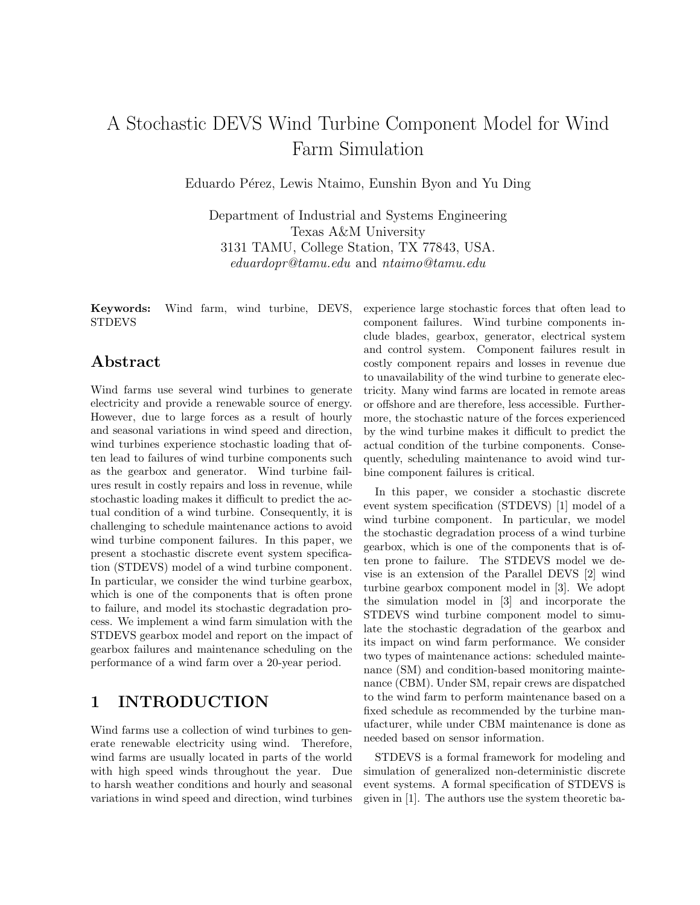# A Stochastic DEVS Wind Turbine Component Model for Wind Farm Simulation

Eduardo Pérez, Lewis Ntaimo, Eunshin Byon and Yu Ding

Department of Industrial and Systems Engineering Texas A&M University 3131 TAMU, College Station, TX 77843, USA. eduardopr@tamu.edu and ntaimo@tamu.edu

Keywords: Wind farm, wind turbine, DEVS, STDEVS

### Abstract

Wind farms use several wind turbines to generate electricity and provide a renewable source of energy. However, due to large forces as a result of hourly and seasonal variations in wind speed and direction, wind turbines experience stochastic loading that often lead to failures of wind turbine components such as the gearbox and generator. Wind turbine failures result in costly repairs and loss in revenue, while stochastic loading makes it difficult to predict the actual condition of a wind turbine. Consequently, it is challenging to schedule maintenance actions to avoid wind turbine component failures. In this paper, we present a stochastic discrete event system specification (STDEVS) model of a wind turbine component. In particular, we consider the wind turbine gearbox, which is one of the components that is often prone to failure, and model its stochastic degradation process. We implement a wind farm simulation with the STDEVS gearbox model and report on the impact of gearbox failures and maintenance scheduling on the performance of a wind farm over a 20-year period.

### 1 INTRODUCTION

Wind farms use a collection of wind turbines to generate renewable electricity using wind. Therefore, wind farms are usually located in parts of the world with high speed winds throughout the year. Due to harsh weather conditions and hourly and seasonal variations in wind speed and direction, wind turbines

experience large stochastic forces that often lead to component failures. Wind turbine components include blades, gearbox, generator, electrical system and control system. Component failures result in costly component repairs and losses in revenue due to unavailability of the wind turbine to generate electricity. Many wind farms are located in remote areas or offshore and are therefore, less accessible. Furthermore, the stochastic nature of the forces experienced by the wind turbine makes it difficult to predict the actual condition of the turbine components. Consequently, scheduling maintenance to avoid wind turbine component failures is critical.

In this paper, we consider a stochastic discrete event system specification (STDEVS) [1] model of a wind turbine component. In particular, we model the stochastic degradation process of a wind turbine gearbox, which is one of the components that is often prone to failure. The STDEVS model we devise is an extension of the Parallel DEVS [2] wind turbine gearbox component model in [3]. We adopt the simulation model in [3] and incorporate the STDEVS wind turbine component model to simulate the stochastic degradation of the gearbox and its impact on wind farm performance. We consider two types of maintenance actions: scheduled maintenance (SM) and condition-based monitoring maintenance (CBM). Under SM, repair crews are dispatched to the wind farm to perform maintenance based on a fixed schedule as recommended by the turbine manufacturer, while under CBM maintenance is done as needed based on sensor information.

STDEVS is a formal framework for modeling and simulation of generalized non-deterministic discrete event systems. A formal specification of STDEVS is given in [1]. The authors use the system theoretic ba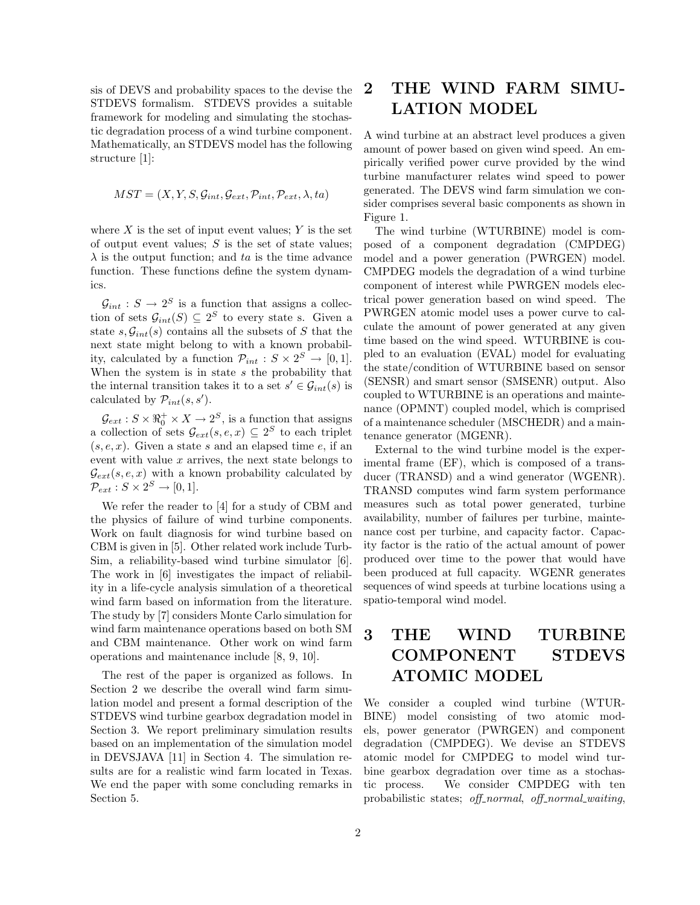sis of DEVS and probability spaces to the devise the STDEVS formalism. STDEVS provides a suitable framework for modeling and simulating the stochastic degradation process of a wind turbine component. Mathematically, an STDEVS model has the following structure [1]:

$$
MST = (X, Y, S, \mathcal{G}_{int}, \mathcal{G}_{ext}, \mathcal{P}_{int}, \mathcal{P}_{ext}, \lambda, ta)
$$

where  $X$  is the set of input event values;  $Y$  is the set of output event values;  $S$  is the set of state values;  $\lambda$  is the output function; and ta is the time advance function. These functions define the system dynamics.

 $G_{int}: S \to 2^S$  is a function that assigns a collection of sets  $\mathcal{G}_{int}(S) \subseteq 2^S$  to every state s. Given a state  $s, \mathcal{G}_{int}(s)$  contains all the subsets of S that the next state might belong to with a known probability, calculated by a function  $\mathcal{P}_{int}: S \times 2^S \rightarrow [0,1].$ When the system is in state  $s$  the probability that the internal transition takes it to a set  $s' \in \mathcal{G}_{int}(s)$  is calculated by  $\mathcal{P}_{int}(s, s')$ .

 $\mathcal{G}_{ext}: S \times \mathbb{R}_0^+ \times X \to 2^S$ , is a function that assigns a collection of sets  $\mathcal{G}_{ext}(s, e, x) \subseteq 2^S$  to each triplet  $(s, e, x)$ . Given a state s and an elapsed time e, if an event with value  $x$  arrives, the next state belongs to  $\mathcal{G}_{ext}(s, e, x)$  with a known probability calculated by  $\mathcal{P}_{ext}: S \times 2^S \rightarrow [0,1].$ 

We refer the reader to [4] for a study of CBM and the physics of failure of wind turbine components. Work on fault diagnosis for wind turbine based on CBM is given in [5]. Other related work include Turb-Sim, a reliability-based wind turbine simulator [6]. The work in [6] investigates the impact of reliability in a life-cycle analysis simulation of a theoretical wind farm based on information from the literature. The study by [7] considers Monte Carlo simulation for wind farm maintenance operations based on both SM and CBM maintenance. Other work on wind farm operations and maintenance include [8, 9, 10].

The rest of the paper is organized as follows. In Section 2 we describe the overall wind farm simulation model and present a formal description of the STDEVS wind turbine gearbox degradation model in Section 3. We report preliminary simulation results based on an implementation of the simulation model in DEVSJAVA [11] in Section 4. The simulation results are for a realistic wind farm located in Texas. We end the paper with some concluding remarks in Section 5.

### 2 THE WIND FARM SIMU-LATION MODEL

A wind turbine at an abstract level produces a given amount of power based on given wind speed. An empirically verified power curve provided by the wind turbine manufacturer relates wind speed to power generated. The DEVS wind farm simulation we consider comprises several basic components as shown in Figure 1.

The wind turbine (WTURBINE) model is composed of a component degradation (CMPDEG) model and a power generation (PWRGEN) model. CMPDEG models the degradation of a wind turbine component of interest while PWRGEN models electrical power generation based on wind speed. The PWRGEN atomic model uses a power curve to calculate the amount of power generated at any given time based on the wind speed. WTURBINE is coupled to an evaluation (EVAL) model for evaluating the state/condition of WTURBINE based on sensor (SENSR) and smart sensor (SMSENR) output. Also coupled to WTURBINE is an operations and maintenance (OPMNT) coupled model, which is comprised of a maintenance scheduler (MSCHEDR) and a maintenance generator (MGENR).

External to the wind turbine model is the experimental frame (EF), which is composed of a transducer (TRANSD) and a wind generator (WGENR). TRANSD computes wind farm system performance measures such as total power generated, turbine availability, number of failures per turbine, maintenance cost per turbine, and capacity factor. Capacity factor is the ratio of the actual amount of power produced over time to the power that would have been produced at full capacity. WGENR generates sequences of wind speeds at turbine locations using a spatio-temporal wind model.

## 3 THE WIND TURBINE COMPONENT STDEVS ATOMIC MODEL

We consider a coupled wind turbine (WTUR-BINE) model consisting of two atomic models, power generator (PWRGEN) and component degradation (CMPDEG). We devise an STDEVS atomic model for CMPDEG to model wind turbine gearbox degradation over time as a stochastic process. We consider CMPDEG with ten probabilistic states; off-normal, off-normal-waiting,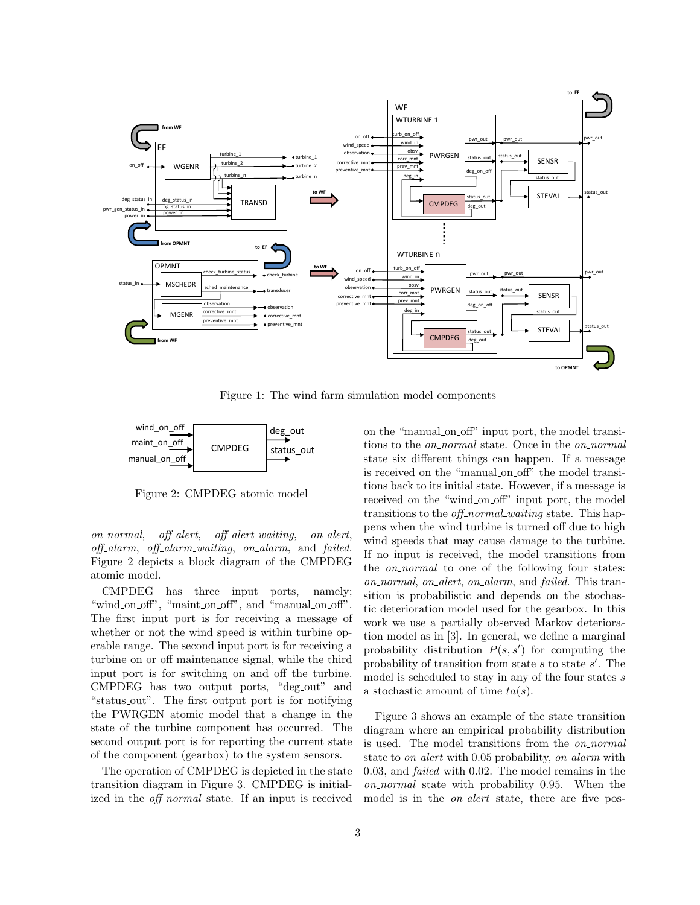

Figure 1: The wind farm simulation model components



Figure 2: CMPDEG atomic model

on\_normal, off\_alert, off\_alert\_waiting, on\_alert, off-alarm, off-alarm-waiting, on-alarm, and failed. Figure 2 depicts a block diagram of the CMPDEG atomic model.

CMPDEG has three input ports, namely; "wind on off", "maint on off", and "manual on off". The first input port is for receiving a message of whether or not the wind speed is within turbine operable range. The second input port is for receiving a turbine on or off maintenance signal, while the third input port is for switching on and off the turbine. CMPDEG has two output ports, "deg out" and "status out". The first output port is for notifying the PWRGEN atomic model that a change in the state of the turbine component has occurred. The second output port is for reporting the current state of the component (gearbox) to the system sensors.

The operation of CMPDEG is depicted in the state transition diagram in Figure 3. CMPDEG is initialized in the *off-normal* state. If an input is received

on the "manual on off" input port, the model transitions to the *on\_normal* state. Once in the *on\_normal* state six different things can happen. If a message is received on the "manual on off" the model transitions back to its initial state. However, if a message is received on the "wind on off" input port, the model transitions to the *off-normal waiting* state. This happens when the wind turbine is turned off due to high wind speeds that may cause damage to the turbine. If no input is received, the model transitions from the *on\_normal* to one of the following four states: on normal, on alert, on alarm, and failed. This transition is probabilistic and depends on the stochastic deterioration model used for the gearbox. In this work we use a partially observed Markov deterioration model as in [3]. In general, we define a marginal probability distribution  $P(s, s')$  for computing the probability of transition from state  $s$  to state  $s'$ . The model is scheduled to stay in any of the four states  $s$ a stochastic amount of time  $ta(s)$ .

Figure 3 shows an example of the state transition diagram where an empirical probability distribution is used. The model transitions from the *on\_normal* state to *on\_alert* with 0.05 probability, *on\_alarm* with 0.03, and failed with 0.02. The model remains in the on normal state with probability 0.95. When the model is in the *on\_alert* state, there are five pos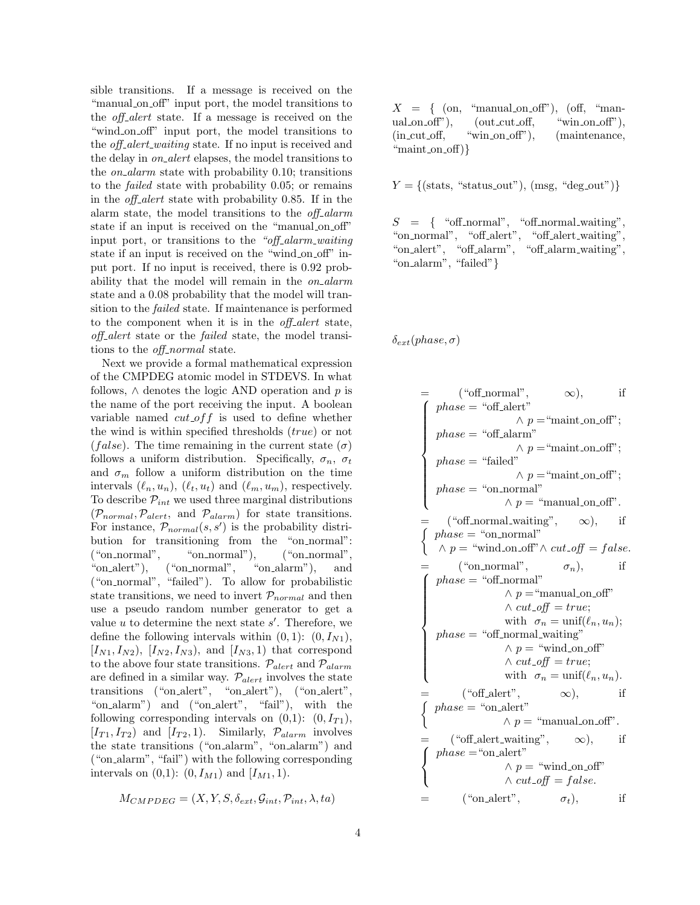sible transitions. If a message is received on the "manual on off" input port, the model transitions to the *off-alert* state. If a message is received on the "wind on off" input port, the model transitions to the *off-alert-waiting* state. If no input is received and the delay in on alert elapses, the model transitions to the *on\_alarm* state with probability 0.10; transitions to the failed state with probability 0.05; or remains in the *off-alert* state with probability 0.85. If in the alarm state, the model transitions to the *off-alarm* state if an input is received on the "manual on off" input port, or transitions to the "off-alarm-waiting" state if an input is received on the "wind\_on\_off" input port. If no input is received, there is 0.92 probability that the model will remain in the *on\_alarm* state and a 0.08 probability that the model will transition to the failed state. If maintenance is performed to the component when it is in the *off-alert* state, off alert state or the failed state, the model transitions to the *off\_normal* state.

Next we provide a formal mathematical expression of the CMPDEG atomic model in STDEVS. In what follows,  $\wedge$  denotes the logic AND operation and p is the name of the port receiving the input. A boolean variable named  $cut\_off$  is used to define whether the wind is within specified thresholds  $(true)$  or not (false). The time remaining in the current state  $(\sigma)$ follows a uniform distribution. Specifically,  $\sigma_n$ ,  $\sigma_t$ and  $\sigma_m$  follow a uniform distribution on the time intervals  $(\ell_n, u_n)$ ,  $(\ell_t, u_t)$  and  $(\ell_m, u_m)$ , respectively. To describe  $\mathcal{P}_{int}$  we used three marginal distributions  $(\mathcal{P}_{normal}, \mathcal{P}_{alert}, \text{ and } \mathcal{P}_{alarm})$  for state transitions. For instance,  $\mathcal{P}_{normal}(s, s')$  is the probability distribution for transitioning from the "on normal": ("on normal", "on normal"), ("on normal", "on alert"), ("on normal", "on alarm"), and ("on normal", "failed"). To allow for probabilistic state transitions, we need to invert  $\mathcal{P}_{normal}$  and then use a pseudo random number generator to get a value  $u$  to determine the next state  $s'$ . Therefore, we define the following intervals within  $(0, 1)$ :  $(0, I_{N1})$ ,  $[I_{N1}, I_{N2}), [I_{N2}, I_{N3}),$  and  $[I_{N3}, 1]$  that correspond to the above four state transitions.  $\mathcal{P}_{alert}$  and  $\mathcal{P}_{alarm}$ are defined in a similar way.  $\mathcal{P}_{alert}$  involves the state transitions ("on alert", "on alert"), ("on alert", "on alarm") and ("on alert", "fail"), with the following corresponding intervals on  $(0,1)$ :  $(0, I_{T1})$ ,  $[I_{T1}, I_{T2}]$  and  $[I_{T2}, 1]$ . Similarly,  $\mathcal{P}_{alarm}$  involves the state transitions ("on alarm", "on alarm") and ("on alarm", "fail") with the following corresponding intervals on  $(0,1)$ :  $(0, I_{M1})$  and  $[I_{M1}, 1)$ .

$$
M_{CMDBEG} = (X, Y, S, \delta_{ext}, \mathcal{G}_{int}, \mathcal{P}_{int}, \lambda, ta)
$$

 $X = \{$  (on, "manual on off"), (off, "manual on off"), (out cut off, "win on off"), (in cut off, "win on off"), (maintenance, "maint\_on\_off) $\}$ 

 $Y = \{(\text{stats}, \text{ "status.out"}), (\text{msg}, \text{ "deg.out"})\}\$ 

 $S = \{$  "off\_normal", "off\_normal\_waiting", "on\_normal", "off\_alert", "off\_alert\_waiting",  $\frac{1}{2}$ "on\_alert", "off\_alarm", "off\_alarm\_waiting", "on alarm", "failed"}

#### $\delta_{ext}(phase, \sigma)$

$$
= (\text{``off-normal''}, \infty), \text{ if}
$$
\n
$$
\begin{cases}\nphase = \text{``off-alert''} \land p = \text{``maint-on-off''}; \\
phase = \text{``failed''} \land p = \text{``maint-on-off''}; \\
phase = \text{``failed''} \land p = \text{``maint-on-off''}; \\
phase = \text{``on-normal''} \land p = \text{``manual-on-off''}; \\
\text{``off-normal-waiting''}, \infty), \text{ if}
$$
\n
$$
\begin{cases}\nphase = \text{``on-normal''} \land \text{cut-off} = false. \\
\text{``on-normal''} \land p = \text{``manual-on-off''} \land \text{cut-off} = false. \\
\text{``on-normal''} \land p = \text{``manual-on-off''} \land \text{cut-off} = true; \\
\text{with } \sigma_n = \text{unif}(\ell_n, u_n); \\
phase = \text{``off-normal-waiting''} \land p = \text{``wind-on-off''} \land \text{cut-off} = true; \\
\text{with } \sigma_n = \text{unif}(\ell_n, u_n).\n\end{cases}
$$
\n
$$
= (\text{``off-alert''}, \infty), \text{ if}
$$
\n
$$
\begin{cases}\nphase = \text{``on-alert''} \land p = \text{``manual-on-off''}. \\
\text{#base} = \text{``on-alert''} \land p = \text{``manual-on-off''} \land \text{cut-off} = false. \\
\text{``on-alert''}, \infty), \text{ if}
$$
\n
$$
\begin{cases}\nphase = \text{``on-alert''} \land p = \text{``wind-on-off''} \land \text{cut-off} = false. \\
\text{``on-alert''}, \infty), \text{ if}\n\end{cases}
$$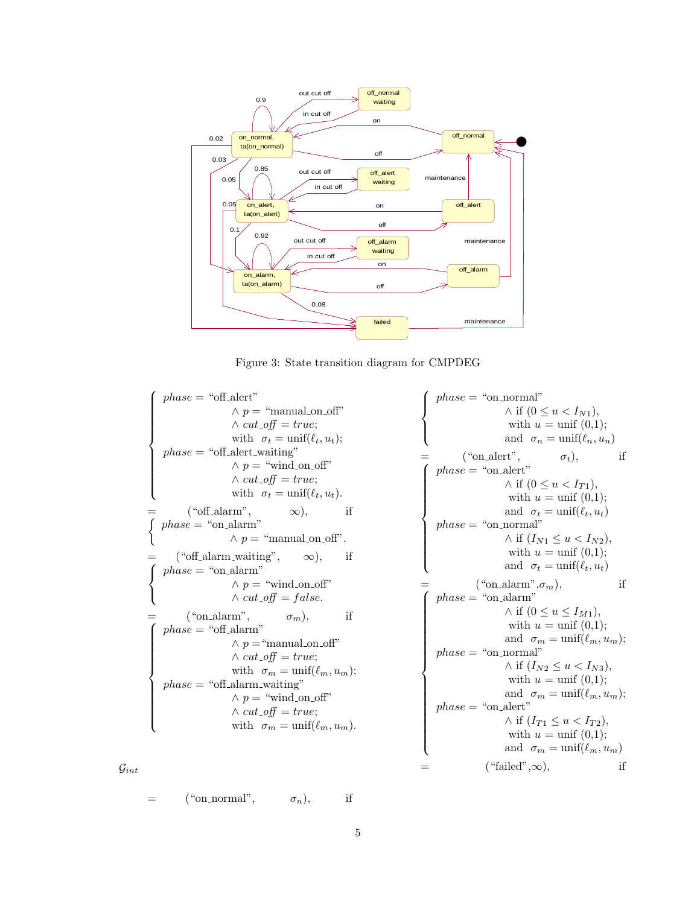

Figure 3: State transition diagram for CMPDEG

 $\sqrt{ }$  $\begin{array}{c} \hline \end{array}$  $\Bigg\}$  $phase = "off\_alert"$  $\land p =$  "manual on off"  $\wedge cut\_off = true;$ with  $\sigma_t = \text{unif}(\ell_t, u_t);$  $phase = "off\_ alert\_waiting"$  $\land p =$  "wind\_on\_off"  $\wedge cut\_off = true;$ with  $\sigma_t = \text{unif}(\ell_t, u_t)$ .  $=$  ("off\_alarm",  $\infty$ ), if  $\int$  $phase = "on\_alarm"$  $\land p =$  "manual on off".  $=$  ("off\_alarm\_waiting",  $\infty$ ), if  $\sqrt{ }$ J  $\mathcal{L}$  $phase = "on_alarm"$  $\land p =$  "wind\_on\_off"  $\wedge$   $cut\_off = false.$  $=$  ("on\_alarm",  $\sigma_m$ ), if  $\sqrt{ }$  $\begin{matrix} \phantom{-} \end{matrix}$  $\Bigg\}$  $phase = "off\_alarm"$  $\land p =$ "manual\_on\_off"  $\wedge cut\_off = true;$ with  $\sigma_m = \text{unif}(\ell_m, u_m);$  $phase = "off\_alarm\_waiting"$  $\land p =$  "wind\_on\_off"  $\wedge cut\_off = true;$ with  $\sigma_m = \text{unif}(\ell_m, u_m)$ .  $\sqrt{ }$  $\int$  $\overline{\mathcal{L}}$  $phase = "on-normal"$  $\wedge$  if  $(0 \le u < I_{N1}),$ with  $u = \text{unif } (0,1);$ and  $\sigma_n = \text{unif}(\ell_n, u_n)$  $=$  ("on\_alert",  $\sigma_t$ ), if  $\sqrt{ }$  $\begin{array}{c} \hline \end{array}$  $\Bigg\}$  $phase = "on_Aert"$  $\wedge$  if  $(0 \le u < I_{T1}),$ with  $u = \text{unif } (0,1);$ and  $\sigma_t = \text{unif}(\ell_t, u_t)$  $phase = "on-normal"$  $\wedge$  if  $(I_{N1} \leq u < I_{N2}),$ with  $u = \text{unif } (0,1);$ and  $\sigma_t = \text{unif}(\ell_t, u_t)$  $=$  ("on\_alarm", $\sigma_m$ ), if  $\sqrt{ }$  $\overline{\phantom{a}}$  $\begin{array}{c} \hline \end{array}$  $phase = "on_alarm"$  $\wedge$  if  $(0 \le u \le I_{M1}),$ with  $u = \text{unif } (0,1);$ and  $\sigma_m = \text{unif}(\ell_m, u_m);$  $phase = "on-normal"$  $\wedge$  if  $(I_{N2} \le u < I_{N3}),$ with  $u = \text{unif } (0,1);$ and  $\sigma_m = \text{unif}(\ell_m, u_m);$  $phase = "on\_alet"$  $\wedge$  if  $(I_{T1} \leq u < I_{T2}),$ with  $u = \text{unif } (0,1);$ and  $\sigma_m = \text{unif}(\ell_m, u_m)$  $("failed", \infty),$  if

 $\mathcal{G}_{int}$ 

$$
= \t({\text{``on\_normal''}}, \t\sigma_n), \t\t \text{if}
$$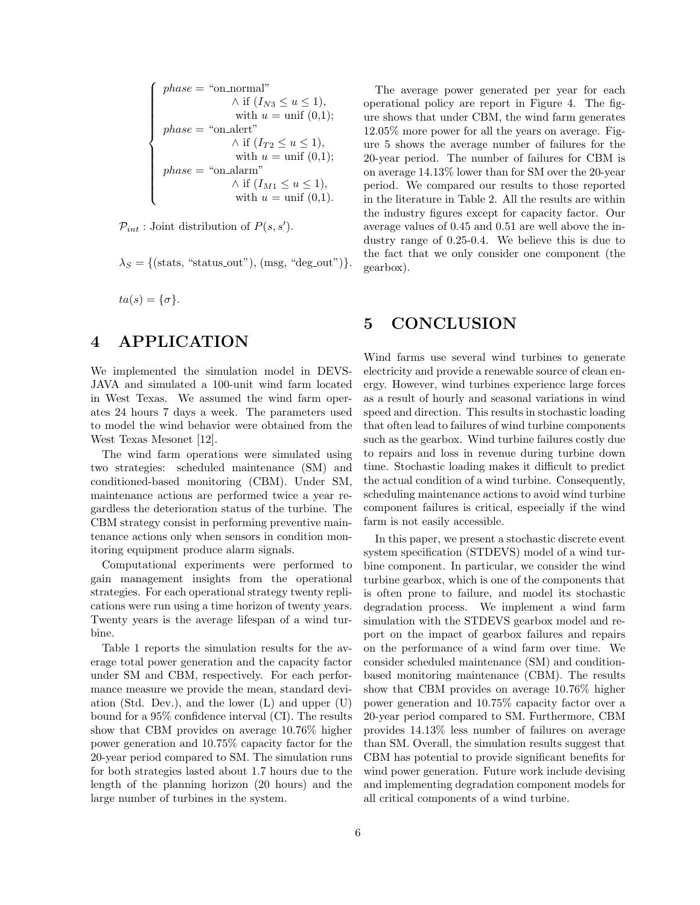$$
\left\{\begin{array}{c}\nphase = \text{``on-normal''} \\
\wedge \text{ if }(I_{N3} \le u \le 1), \\
\text{ with } u = \text{unif }(0,1); \\
phase = \text{``on-alert''} \\
\wedge \text{ if }(I_{T2} \le u \le 1), \\
\text{ with } u = \text{unif }(0,1); \\
phase = \text{``on-alarm''} \\
\wedge \text{ if }(I_{M1} \le u \le 1), \\
\text{ with } u = \text{unif }(0,1).\n\end{array}\right.
$$

 $\mathcal{P}_{int}$ : Joint distribution of  $P(s, s')$ .

 $\lambda_S = \{(\text{stats}, \text{``status.out''}), (\text{msg}, \text{``deg.out''})\}.$ 

 $ta(s) = {\sigma}.$ 

### 4 APPLICATION

We implemented the simulation model in DEVS-JAVA and simulated a 100-unit wind farm located in West Texas. We assumed the wind farm operates 24 hours 7 days a week. The parameters used to model the wind behavior were obtained from the West Texas Mesonet [12].

The wind farm operations were simulated using two strategies: scheduled maintenance (SM) and conditioned-based monitoring (CBM). Under SM, maintenance actions are performed twice a year regardless the deterioration status of the turbine. The CBM strategy consist in performing preventive maintenance actions only when sensors in condition monitoring equipment produce alarm signals.

Computational experiments were performed to gain management insights from the operational strategies. For each operational strategy twenty replications were run using a time horizon of twenty years. Twenty years is the average lifespan of a wind turbine.

Table 1 reports the simulation results for the average total power generation and the capacity factor under SM and CBM, respectively. For each performance measure we provide the mean, standard deviation (Std. Dev.), and the lower  $(L)$  and upper  $(U)$ bound for a 95% confidence interval (CI). The results show that CBM provides on average 10.76% higher power generation and 10.75% capacity factor for the 20-year period compared to SM. The simulation runs for both strategies lasted about 1.7 hours due to the length of the planning horizon (20 hours) and the large number of turbines in the system.

The average power generated per year for each operational policy are report in Figure 4. The figure shows that under CBM, the wind farm generates 12.05% more power for all the years on average. Figure 5 shows the average number of failures for the 20-year period. The number of failures for CBM is on average 14.13% lower than for SM over the 20-year period. We compared our results to those reported in the literature in Table 2. All the results are within the industry figures except for capacity factor. Our average values of 0.45 and 0.51 are well above the industry range of 0.25-0.4. We believe this is due to the fact that we only consider one component (the gearbox).

#### 5 CONCLUSION

Wind farms use several wind turbines to generate electricity and provide a renewable source of clean energy. However, wind turbines experience large forces as a result of hourly and seasonal variations in wind speed and direction. This results in stochastic loading that often lead to failures of wind turbine components such as the gearbox. Wind turbine failures costly due to repairs and loss in revenue during turbine down time. Stochastic loading makes it difficult to predict the actual condition of a wind turbine. Consequently, scheduling maintenance actions to avoid wind turbine component failures is critical, especially if the wind farm is not easily accessible.

In this paper, we present a stochastic discrete event system specification (STDEVS) model of a wind turbine component. In particular, we consider the wind turbine gearbox, which is one of the components that is often prone to failure, and model its stochastic degradation process. We implement a wind farm simulation with the STDEVS gearbox model and report on the impact of gearbox failures and repairs on the performance of a wind farm over time. We consider scheduled maintenance (SM) and conditionbased monitoring maintenance (CBM). The results show that CBM provides on average 10.76% higher power generation and 10.75% capacity factor over a 20-year period compared to SM. Furthermore, CBM provides 14.13% less number of failures on average than SM. Overall, the simulation results suggest that CBM has potential to provide significant benefits for wind power generation. Future work include devising and implementing degradation component models for all critical components of a wind turbine.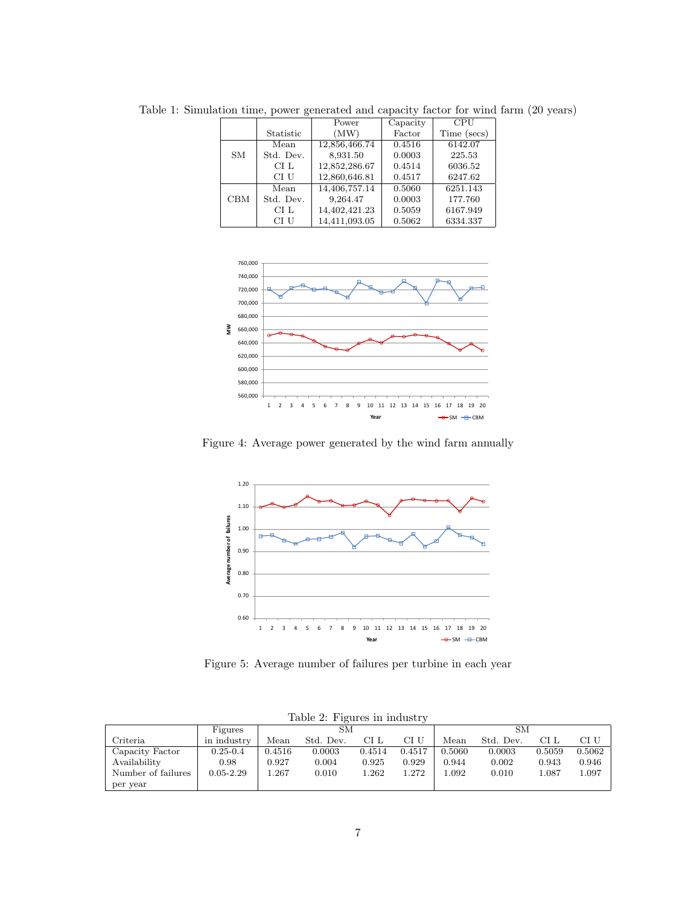|            |           | Power         | Capacity | <b>CPU</b>  |
|------------|-----------|---------------|----------|-------------|
|            | Statistic | (MW)          | Factor   | Time (secs) |
|            | Mean      | 12,856,466.74 | 0.4516   | 6142.07     |
| SM         | Std. Dev. | 8,931.50      | 0.0003   | 225.53      |
|            | CI L      | 12,852,286.67 | 0.4514   | 6036.52     |
|            | CI U      | 12,860,646.81 | 0.4517   | 6247.62     |
|            | Mean      | 14,406,757.14 | 0.5060   | 6251.143    |
| <b>CBM</b> | Std. Dev. | 9,264.47      | 0.0003   | 177.760     |
|            | CI L      | 14,402,421.23 | 0.5059   | 6167.949    |
|            | CI U      | 14,411,093.05 | 0.5062   | 6334.337    |

Table 1: Simulation time, power generated and capacity factor for wind farm (20 years)



Figure 4: Average power generated by the wind farm annually



Figure 5: Average number of failures per turbine in each year

| Table 2: Figures in industry |               |        |           |        |        |        |           |        |        |  |  |  |  |
|------------------------------|---------------|--------|-----------|--------|--------|--------|-----------|--------|--------|--|--|--|--|
|                              | Figures       | SМ     |           |        | SМ     |        |           |        |        |  |  |  |  |
| Criteria                     | in industry   | Mean   | Std. Dev. | CI L   | CI U   | Mean   | Std. Dev. | CI L   | CI U   |  |  |  |  |
| Capacity Factor              | $0.25 - 0.4$  | 0.4516 | 0.0003    | 0.4514 | 0.4517 | 0.5060 | 0.0003    | 0.5059 | 0.5062 |  |  |  |  |
| Availability                 | 0.98          | 0.927  | 0.004     | 0.925  | 0.929  | 0.944  | 0.002     | 0.943  | 0.946  |  |  |  |  |
| Number of failures           | $0.05 - 2.29$ | 0.267  | 0.010     | l.262  | 1.272  | .092   | 0.010     | 1.087  | 1.097  |  |  |  |  |
| per year                     |               |        |           |        |        |        |           |        |        |  |  |  |  |

Table 2: Figures in industry